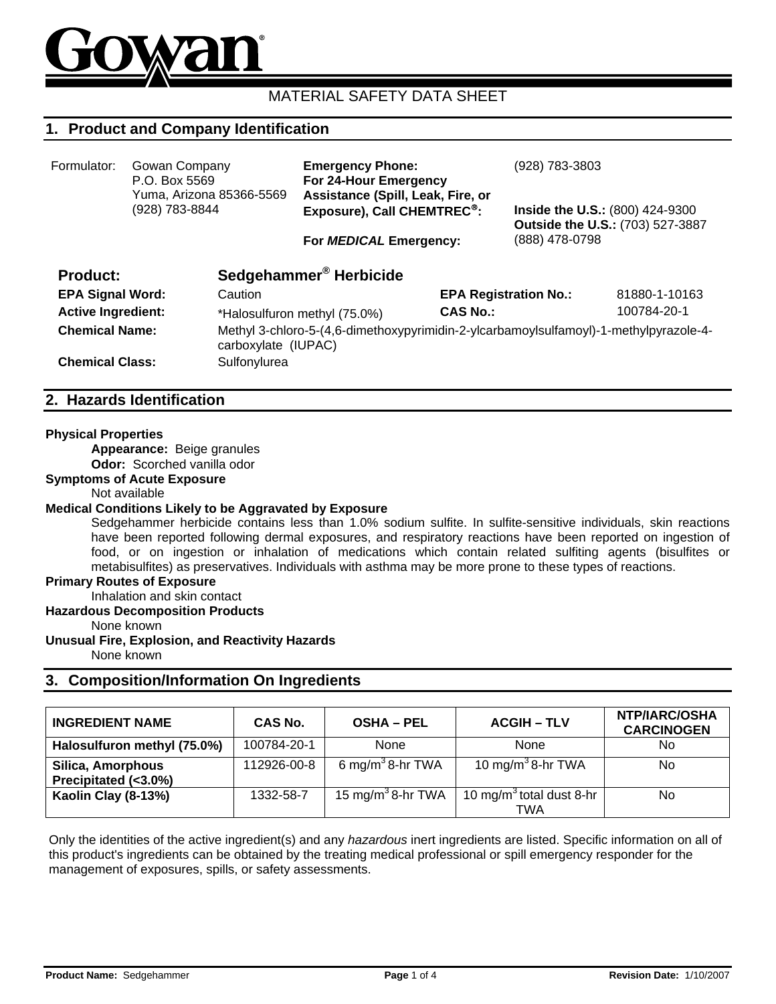

# MATERIAL SAFETY DATA SHEET

# **1. Product and Company Identification**

| Formulator:                                  | Gowan Company<br>P.O. Box 5569<br>Yuma, Arizona 85366-5569<br>(928) 783-8844 |                                                                                       | <b>Emergency Phone:</b><br>For 24-Hour Emergency<br>Assistance (Spill, Leak, Fire, or<br>Exposure), Call CHEMTREC <sup>®</sup> : |                              | (928) 783-3803<br>Inside the U.S.: (800) 424-9300<br>Outside the U.S.: (703) 527-3887 |               |
|----------------------------------------------|------------------------------------------------------------------------------|---------------------------------------------------------------------------------------|----------------------------------------------------------------------------------------------------------------------------------|------------------------------|---------------------------------------------------------------------------------------|---------------|
|                                              |                                                                              |                                                                                       | For MEDICAL Emergency:                                                                                                           | (888) 478-0798               |                                                                                       |               |
| <b>Product:</b>                              |                                                                              |                                                                                       | Sedgehammer <sup>®</sup> Herbicide                                                                                               |                              |                                                                                       |               |
| <b>EPA Signal Word:</b>                      |                                                                              | Caution                                                                               |                                                                                                                                  | <b>EPA Registration No.:</b> |                                                                                       | 81880-1-10163 |
| <b>Active Ingredient:</b>                    |                                                                              | *Halosulfuron methyl (75.0%)                                                          |                                                                                                                                  | <b>CAS No.:</b>              |                                                                                       | 100784-20-1   |
| <b>Chemical Name:</b><br>carboxylate (IUPAC) |                                                                              | Methyl 3-chloro-5-(4,6-dimethoxypyrimidin-2-ylcarbamoylsulfamoyl)-1-methylpyrazole-4- |                                                                                                                                  |                              |                                                                                       |               |
| <b>Chemical Class:</b>                       |                                                                              | Sulfonylurea                                                                          |                                                                                                                                  |                              |                                                                                       |               |

## **2. Hazards Identification**

#### **Physical Properties**

**Appearance:** Beige granules **Odor:** Scorched vanilla odor

**Symptoms of Acute Exposure** 

#### Not available

#### **Medical Conditions Likely to be Aggravated by Exposure**

Sedgehammer herbicide contains less than 1.0% sodium sulfite. In sulfite-sensitive individuals, skin reactions have been reported following dermal exposures, and respiratory reactions have been reported on ingestion of food, or on ingestion or inhalation of medications which contain related sulfiting agents (bisulfites or metabisulfites) as preservatives. Individuals with asthma may be more prone to these types of reactions.

#### **Primary Routes of Exposure**

Inhalation and skin contact

### **Hazardous Decomposition Products**

None known

### **Unusual Fire, Explosion, and Reactivity Hazards**

None known

## **3. Composition/Information On Ingredients**

| <b>INGREDIENT NAME</b>                    | <b>CAS No.</b> | <b>OSHA - PEL</b>             | <b>ACGIH – TLV</b>                          | <b>NTP/IARC/OSHA</b><br><b>CARCINOGEN</b> |
|-------------------------------------------|----------------|-------------------------------|---------------------------------------------|-------------------------------------------|
| Halosulfuron methyl (75.0%)               | 100784-20-1    | None                          | None                                        | No.                                       |
| Silica, Amorphous<br>Precipitated (<3.0%) | 112926-00-8    | 6 mg/m <sup>3</sup> 8-hr TWA  | 10 mg/m <sup>3</sup> 8-hr TWA               | No                                        |
| Kaolin Clay (8-13%)                       | 1332-58-7      | 15 mg/m <sup>3</sup> 8-hr TWA | 10 mg/m <sup>3</sup> total dust 8-hr<br>TWA | No                                        |

Only the identities of the active ingredient(s) and any *hazardous* inert ingredients are listed. Specific information on all of this product's ingredients can be obtained by the treating medical professional or spill emergency responder for the management of exposures, spills, or safety assessments.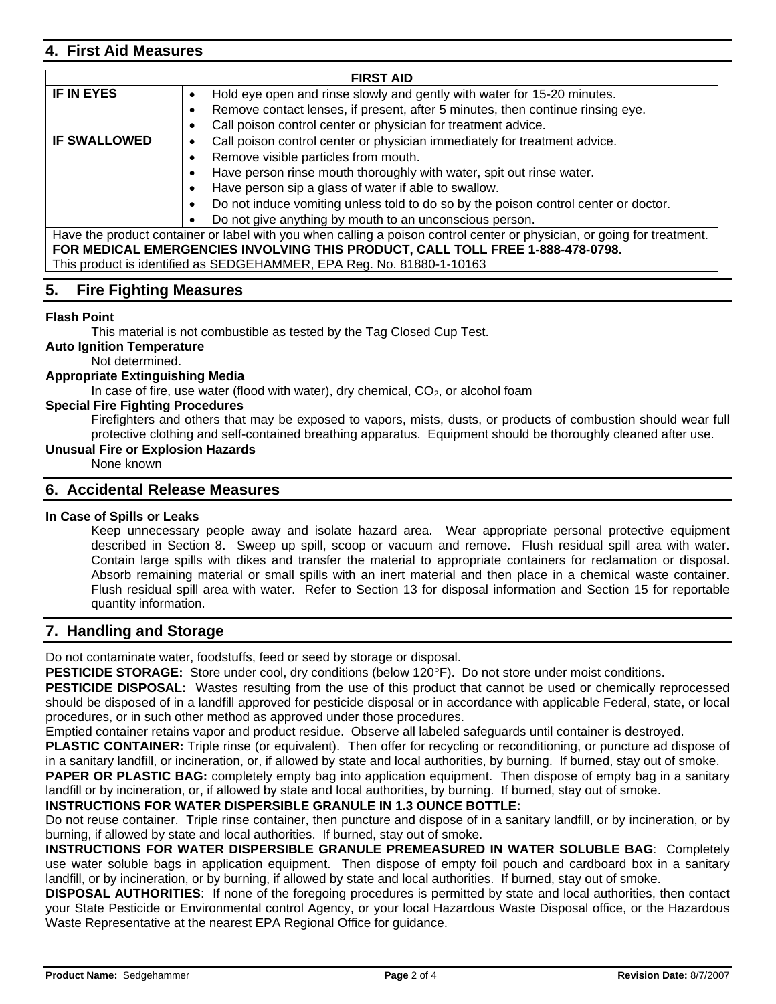## **4. First Aid Measures**

| <b>FIRST AID</b>                                                                                      |                                                                                                                         |  |  |  |  |  |  |
|-------------------------------------------------------------------------------------------------------|-------------------------------------------------------------------------------------------------------------------------|--|--|--|--|--|--|
| <b>IF IN EYES</b>                                                                                     | Hold eye open and rinse slowly and gently with water for 15-20 minutes.<br>$\bullet$                                    |  |  |  |  |  |  |
|                                                                                                       | Remove contact lenses, if present, after 5 minutes, then continue rinsing eye.<br>٠                                     |  |  |  |  |  |  |
|                                                                                                       | Call poison control center or physician for treatment advice.<br>٠                                                      |  |  |  |  |  |  |
| <b>IF SWALLOWED</b><br>Call poison control center or physician immediately for treatment advice.<br>٠ |                                                                                                                         |  |  |  |  |  |  |
|                                                                                                       | Remove visible particles from mouth.<br>٠                                                                               |  |  |  |  |  |  |
|                                                                                                       | Have person rinse mouth thoroughly with water, spit out rinse water.<br>٠                                               |  |  |  |  |  |  |
|                                                                                                       | Have person sip a glass of water if able to swallow.<br>٠                                                               |  |  |  |  |  |  |
|                                                                                                       | Do not induce vomiting unless told to do so by the poison control center or doctor.<br>$\bullet$                        |  |  |  |  |  |  |
|                                                                                                       | Do not give anything by mouth to an unconscious person.                                                                 |  |  |  |  |  |  |
|                                                                                                       | Have the product container or label with you when calling a poison control center or physician, or going for treatment. |  |  |  |  |  |  |
|                                                                                                       | FOR MEDICAL EMERGENCIES INVOLVING THIS PRODUCT, CALL TOLL FREE 1-888-478-0798.                                          |  |  |  |  |  |  |
|                                                                                                       | This product is identified as SEDGEHAMMER, EPA Reg. No. 81880-1-10163                                                   |  |  |  |  |  |  |

## **5. Fire Fighting Measures**

## **Flash Point**

This material is not combustible as tested by the Tag Closed Cup Test.

**Auto Ignition Temperature** 

Not determined.

### **Appropriate Extinguishing Media**

In case of fire, use water (flood with water), dry chemical,  $CO<sub>2</sub>$ , or alcohol foam

### **Special Fire Fighting Procedures**

Firefighters and others that may be exposed to vapors, mists, dusts, or products of combustion should wear full protective clothing and self-contained breathing apparatus. Equipment should be thoroughly cleaned after use.

### **Unusual Fire or Explosion Hazards**

None known

## **6. Accidental Release Measures**

#### **In Case of Spills or Leaks**

Keep unnecessary people away and isolate hazard area. Wear appropriate personal protective equipment described in Section 8. Sweep up spill, scoop or vacuum and remove. Flush residual spill area with water. Contain large spills with dikes and transfer the material to appropriate containers for reclamation or disposal. Absorb remaining material or small spills with an inert material and then place in a chemical waste container. Flush residual spill area with water. Refer to Section 13 for disposal information and Section 15 for reportable quantity information.

## **7. Handling and Storage**

Do not contaminate water, foodstuffs, feed or seed by storage or disposal.

**PESTICIDE STORAGE:** Store under cool, dry conditions (below 120°F). Do not store under moist conditions.

**PESTICIDE DISPOSAL:** Wastes resulting from the use of this product that cannot be used or chemically reprocessed should be disposed of in a landfill approved for pesticide disposal or in accordance with applicable Federal, state, or local procedures, or in such other method as approved under those procedures.

Emptied container retains vapor and product residue. Observe all labeled safeguards until container is destroyed.

**PLASTIC CONTAINER:** Triple rinse (or equivalent). Then offer for recycling or reconditioning, or puncture ad dispose of in a sanitary landfill, or incineration, or, if allowed by state and local authorities, by burning. If burned, stay out of smoke.

PAPER OR PLASTIC BAG: completely empty bag into application equipment. Then dispose of empty bag in a sanitary landfill or by incineration, or, if allowed by state and local authorities, by burning. If burned, stay out of smoke.

**INSTRUCTIONS FOR WATER DISPERSIBLE GRANULE IN 1.3 OUNCE BOTTLE:** 

Do not reuse container. Triple rinse container, then puncture and dispose of in a sanitary landfill, or by incineration, or by burning, if allowed by state and local authorities. If burned, stay out of smoke.

**INSTRUCTIONS FOR WATER DISPERSIBLE GRANULE PREMEASURED IN WATER SOLUBLE BAG**: Completely use water soluble bags in application equipment. Then dispose of empty foil pouch and cardboard box in a sanitary landfill, or by incineration, or by burning, if allowed by state and local authorities. If burned, stay out of smoke.

**DISPOSAL AUTHORITIES**: If none of the foregoing procedures is permitted by state and local authorities, then contact your State Pesticide or Environmental control Agency, or your local Hazardous Waste Disposal office, or the Hazardous Waste Representative at the nearest EPA Regional Office for guidance.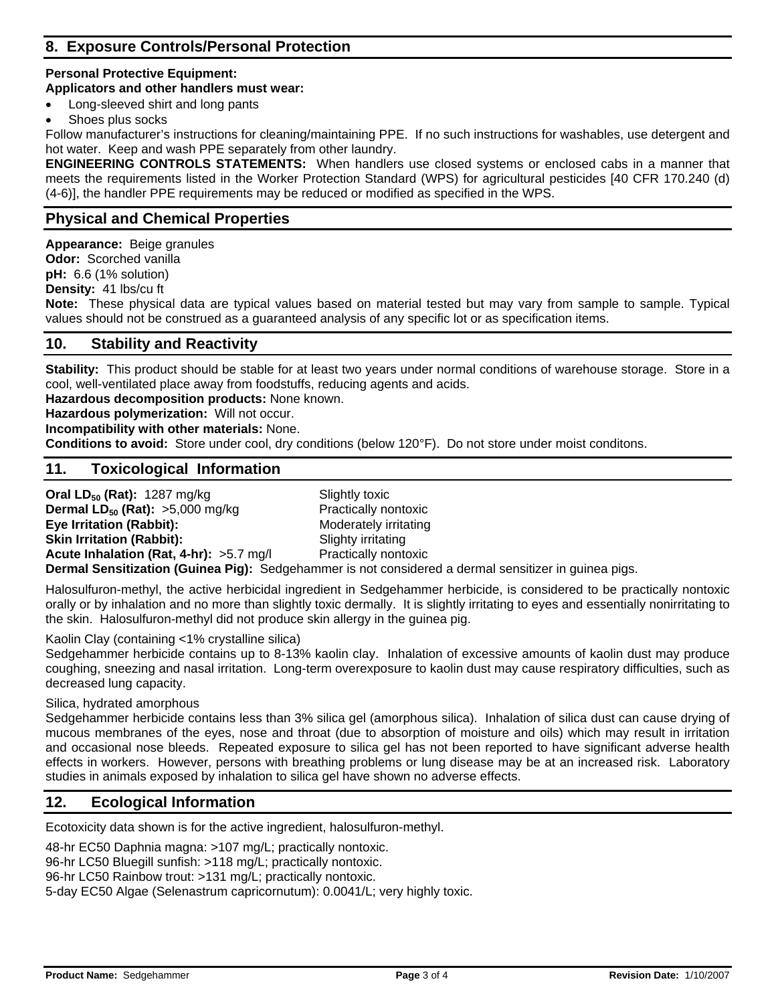# **8. Exposure Controls/Personal Protection**

### **Personal Protective Equipment:**

### **Applicators and other handlers must wear:**

- Long-sleeved shirt and long pants
- Shoes plus socks

Follow manufacturer's instructions for cleaning/maintaining PPE. If no such instructions for washables, use detergent and hot water. Keep and wash PPE separately from other laundry.

**ENGINEERING CONTROLS STATEMENTS:** When handlers use closed systems or enclosed cabs in a manner that meets the requirements listed in the Worker Protection Standard (WPS) for agricultural pesticides [40 CFR 170.240 (d) (4-6)], the handler PPE requirements may be reduced or modified as specified in the WPS.

# **Physical and Chemical Properties**

**Appearance:** Beige granules **Odor:** Scorched vanilla **pH:** 6.6 (1% solution) **Density:** 41 lbs/cu ft **Note:** These physical data are typical values based on material tested but may vary from sample to sample. Typical values should not be construed as a guaranteed analysis of any specific lot or as specification items.

## **10. Stability and Reactivity**

**Stability:** This product should be stable for at least two years under normal conditions of warehouse storage. Store in a cool, well-ventilated place away from foodstuffs, reducing agents and acids.

**Hazardous decomposition products:** None known.

**Hazardous polymerization:** Will not occur.

**Incompatibility with other materials:** None.

**Conditions to avoid:** Store under cool, dry conditions (below 120°F). Do not store under moist conditons.

# **11. Toxicological Information**

**Oral LD<sub>50</sub> (Rat):** 1287 mg/kg<br> **Dermal LD<sub>50</sub> (Rat):** >5,000 mg/kg **State Preprendically nontoxic Dermal**  $LD_{50}$  **(Rat):**  $>5,000$  mg/kg **Eye Irritation (Rabbit):** Moderately irritating **Skin Irritation (Rabbit):** Slighty irritating **Acute Inhalation (Rat, 4-hr):** >5.7 mg/l Practically nontoxic **Dermal Sensitization (Guinea Pig):** Sedgehammer is not considered a dermal sensitizer in guinea pigs.

Halosulfuron-methyl, the active herbicidal ingredient in Sedgehammer herbicide, is considered to be practically nontoxic orally or by inhalation and no more than slightly toxic dermally. It is slightly irritating to eyes and essentially nonirritating to the skin. Halosulfuron-methyl did not produce skin allergy in the guinea pig.

Kaolin Clay (containing <1% crystalline silica)

Sedgehammer herbicide contains up to 8-13% kaolin clay. Inhalation of excessive amounts of kaolin dust may produce coughing, sneezing and nasal irritation. Long-term overexposure to kaolin dust may cause respiratory difficulties, such as decreased lung capacity.

Silica, hydrated amorphous

Sedgehammer herbicide contains less than 3% silica gel (amorphous silica). Inhalation of silica dust can cause drying of mucous membranes of the eyes, nose and throat (due to absorption of moisture and oils) which may result in irritation and occasional nose bleeds. Repeated exposure to silica gel has not been reported to have significant adverse health effects in workers. However, persons with breathing problems or lung disease may be at an increased risk. Laboratory studies in animals exposed by inhalation to silica gel have shown no adverse effects.

# **12. Ecological Information**

Ecotoxicity data shown is for the active ingredient, halosulfuron-methyl.

48-hr EC50 Daphnia magna: >107 mg/L; practically nontoxic. 96-hr LC50 Bluegill sunfish: >118 mg/L; practically nontoxic. 96-hr LC50 Rainbow trout: >131 mg/L; practically nontoxic. 5-day EC50 Algae (Selenastrum capricornutum): 0.0041/L; very highly toxic.